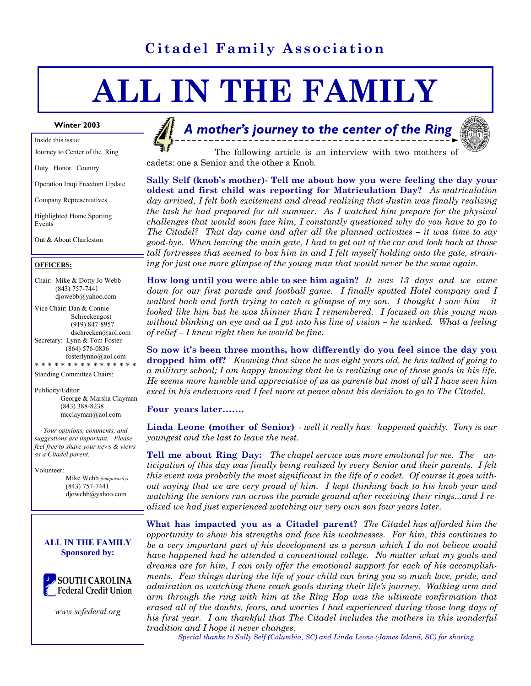# **Citadel Family Association**

# **ALL IN THE FAMILY**

Inside this issue:

Journey to Center of the Ring

Duty Honor Country

Operation Iraqi Freedom Update

Company Representatives

Highlighted Home Sporting Events

Out & About Charleston

#### **OFFICERS:**

Chair: Mike & Dotty Jo Webb (843) 757-7441 djowebb@yahoo.com

Vice Chair: Dan & Connie Schreckengost (919) 847-8957 dschrecken@aol.com Secretary: Lynn & Tom Foster (864) 576-0836 fosterlynno@aol.com \* \* \* \* \* \* \* \* \* \* \* \* \* \* \* \*

Standing Committee Chairs:

Publicity/Editor: George & Marsha Clayman (843) 388-8238 mcclayman@aol.com

 *Your opinions, comments, and suggestions are important. Please feel free to share your news & views as a Citadel parent.* 

Volunteer:

 Mike Webb *(temporarily)*  (843) 757-7441 djowebb@yahoo.com





*www.scfederal.org* 

## **A** mother's journey to the center of the Ring



 The following article is an interview with two mothers of cadets: one a Senior and the other a Knob*.* 

**Sally Self (knob's mother)- Tell me about how you were feeling the day your oldest and first child was reporting for Matriculation Day?** *As matriculation day arrived, I felt both excitement and dread realizing that Justin was finally realizing the task he had prepared for all summer. As I watched him prepare for the physical challenges that would soon face him, I constantly questioned why do you have to go to The Citadel? That day came and after all the planned activities – it was time to say good-bye. When leaving the main gate, I had to get out of the car and look back at those tall fortresses that seemed to box him in and I felt myself holding onto the gate, straining for just one more glimpse of the young man that would never be the same again.* 

**How long until you were able to see him again?** *It was 13 days and we came down for our first parade and football game. I finally spotted Hotel company and I walked back and forth trying to catch a glimpse of my son. I thought I saw him – it looked like him but he was thinner than I remembered. I focused on this young man without blinking an eye and as I got into his line of vision – he winked. What a feeling of relief – I knew right then he would be fine.* 

**So now it's been three months, how differently do you feel since the day you dropped him off?** *Knowing that since he was eight years old, he has talked of going to a military school; I am happy knowing that he is realizing one of those goals in his life. He seems more humble and appreciative of us as parents but most of all I have seen him excel in his endeavors and I feel more at peace about his decision to go to The Citadel.* 

#### **Four years later…….**

**Linda Leone (mother of Senior)** *- well it really has happened quickly. Tony is our youngest and the last to leave the nest.* 

**Tell me about Ring Day:** *The chapel service was more emotional for me. The anticipation of this day was finally being realized by every Senior and their parents. I felt this event was probably the most significant in the life of a cadet. Of course it goes without saying that we are very proud of him. I kept thinking back to his knob year and watching the seniors run across the parade ground after receiving their rings...and I realized we had just experienced watching our very own son four years later.* 

**What has impacted you as a Citadel parent?** *The Citadel has afforded him the opportunity to show his strengths and face his weaknesses. For him, this continues to be a very important part of his development as a person which I do not believe would have happened had he attended a conventional college. No matter what my goals and dreams are for him, I can only offer the emotional support for each of his accomplishments. Few things during the life of your child can bring you so much love, pride, and admiration as watching them reach goals during their life's journey. Walking arm and arm through the ring with him at the Ring Hop was the ultimate confirmation that erased all of the doubts, fears, and worries I had experienced during those long days of his first year. I am thankful that The Citadel includes the mothers in this wonderful tradition and I hope it never changes.* 

 *Special thanks to Sally Self (Columbia, SC) and Linda Leone (James Island, SC) for sharing.*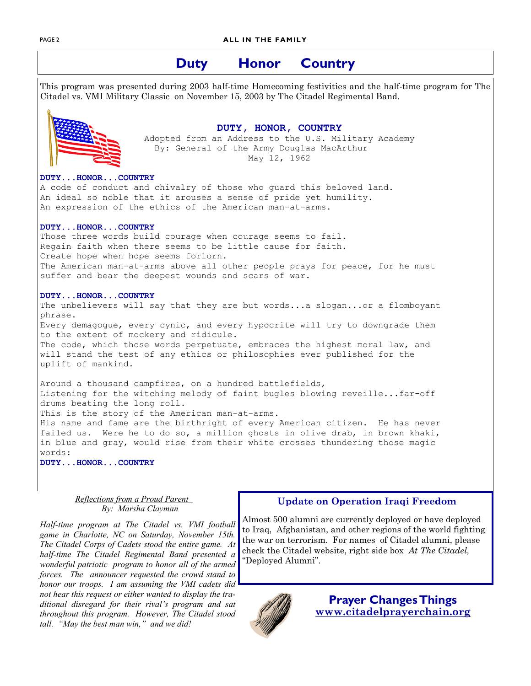## **Duty Honor Country**

This program was presented during 2003 half-time Homecoming festivities and the half-time program for The Citadel vs. VMI Military Classic on November 15, 2003 by The Citadel Regimental Band.



**DUTY, HONOR, COUNTRY**<br>Adopted from an Address to the U.S. Military Academy By: General of the Army Douglas MacArthur May 12, 1962

#### **DUTY...HONOR...COUNTRY**

A code of conduct and chivalry of those who guard this beloved land. An ideal so noble that it arouses a sense of pride yet humility. An expression of the ethics of the American man-at-arms.

#### **DUTY...HONOR...COUNTRY**

Those three words build courage when courage seems to fail. Regain faith when there seems to be little cause for faith. Create hope when hope seems forlorn. The American man-at-arms above all other people prays for peace, for he must suffer and bear the deepest wounds and scars of war.

#### **DUTY...HONOR...COUNTRY**

The unbelievers will say that they are but words...a slogan...or a flomboyant phrase. Every demagogue, every cynic, and every hypocrite will try to downgrade them to the extent of mockery and ridicule. The code, which those words perpetuate, embraces the highest moral law, and will stand the test of any ethics or philosophies ever published for the uplift of mankind.

Around a thousand campfires, on a hundred battlefields, Listening for the witching melody of faint bugles blowing reveille...far-off drums beating the long roll. This is the story of the American man-at-arms. His name and fame are the birthright of every American citizen. He has never failed us. Were he to do so, a million ghosts in olive drab, in brown khaki, in blue and gray, would rise from their white crosses thundering those magic words:

**DUTY...HONOR...COUNTRY** 

*Reflections from a Proud Parent By: Marsha Clayman* 

*Half-time program at The Citadel vs. VMI football game in Charlotte, NC on Saturday, November 15th. The Citadel Corps of Cadets stood the entire game. At half-time The Citadel Regimental Band presented a wonderful patriotic program to honor all of the armed forces. The announcer requested the crowd stand to honor our troops. I am assuming the VMI cadets did not hear this request or either wanted to display the traditional disregard for their rival's program and sat throughout this program. However, The Citadel stood tall. "May the best man win," and we did!* 

#### **Update on Operation Iraqi Freedom**

Almost 500 alumni are currently deployed or have deployed to Iraq, Afghanistan, and other regions of the world fighting the war on terrorism. For names of Citadel alumni, please check the Citadel website, right side box *At The Citadel,* "Deployed Alumni".



**Prayer Changes Things www.citadelprayerchain.org**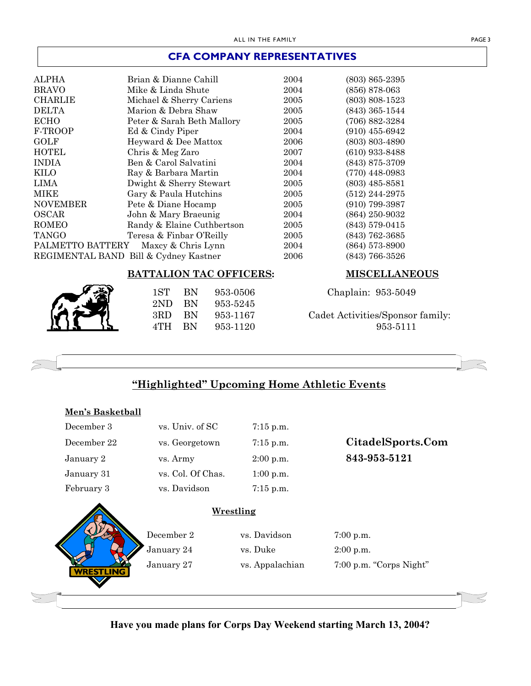### **CFA COMPANY REPRESENTATIVES**

| <b>ALPHA</b>                           | Brian & Dianne Cahill                 | 2004 | $(803)$ 865-2395   |
|----------------------------------------|---------------------------------------|------|--------------------|
| <b>BRAVO</b>                           | Mike & Linda Shute                    | 2004 | $(856)$ 878-063    |
| <b>CHARLIE</b>                         | Michael & Sherry Cariens              | 2005 | $(803) 808 - 1523$ |
| <b>DELTA</b>                           | Marion & Debra Shaw                   | 2005 | $(843)$ 365-1544   |
| <b>ECHO</b>                            | Peter & Sarah Beth Mallory            | 2005 | $(706) 882 - 3284$ |
| F-TROOP                                | Ed & Cindy Piper                      | 2004 | $(910)$ 455-6942   |
| <b>GOLF</b>                            | Heyward & Dee Mattox                  | 2006 | $(803)$ 803-4890   |
| <b>HOTEL</b>                           | Chris & Meg Zaro                      | 2007 | $(610)$ 933-8488   |
| <b>INDIA</b>                           | Ben & Carol Salvatini                 | 2004 | $(843)$ 875-3709   |
| KILO                                   | Ray & Barbara Martin                  | 2004 | $(770)$ 448-0983   |
| LIMA                                   | Dwight & Sherry Stewart               | 2005 | $(803)$ 485-8581   |
| <b>MIKE</b>                            | Gary & Paula Hutchins                 | 2005 | $(512)$ 244-2975   |
| <b>NOVEMBER</b>                        | Pete & Diane Hocamp                   | 2005 | $(910)$ 799-3987   |
| <b>OSCAR</b>                           | John & Mary Braeunig                  | 2004 | $(864)$ 250-9032   |
| <b>ROMEO</b>                           | Randy & Elaine Cuthbertson            | 2005 | $(843)$ 579-0415   |
| <b>TANGO</b>                           | Teresa & Finbar O'Reilly              | 2005 | $(843)$ 762-3685   |
| PALMETTO BATTERY<br>Maxey & Chris Lynn |                                       | 2004 | $(864)$ 573-8900   |
|                                        | REGIMENTAL BAND Bill & Cydney Kastner | 2006 | (843) 766-3526     |

#### **BATTALION TAC OFFICERS: MISCELLANEOUS**

2ND BN 953-5245

#### 1ST BN 953-0506 Chaplain: 953-5049

#### 3RD BN 953-1167 Cadet Activities/Sponsor family: 4TH BN 953-1120 953-5111



# **"Highlighted" Upcoming Home Athletic Events**

| Men's Basketball |                   |                           |                         |
|------------------|-------------------|---------------------------|-------------------------|
| December 3       | vs. Univ. of SC   | $7:15$ p.m.               |                         |
| December 22      | vs. Georgetown    | $7:15$ p.m.               | CitadelSports.Com       |
| January 2        | vs. Army          | $2:00$ p.m.               | 843-953-5121            |
| January 31       | vs. Col. Of Chas. | 1:00 p.m.                 |                         |
| February 3       | vs. Davidson      | $7:15$ p.m.               |                         |
|                  | December 2        | Wrestling<br>vs. Davidson | $7:00$ p.m.             |
|                  | January 24        | vs. Duke                  | $2:00$ p.m.             |
|                  | January 27        | vs. Appalachian           | 7:00 p.m. "Corps Night" |
| <b>WRESTLING</b> |                   |                           |                         |
|                  |                   |                           |                         |

**Have you made plans for Corps Day Weekend starting March 13, 2004?**